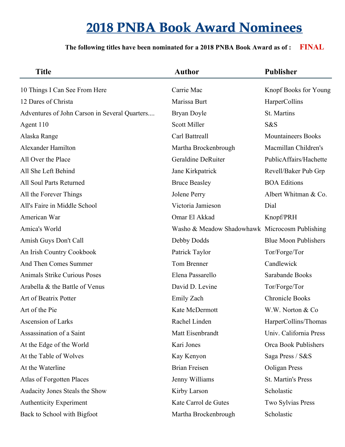| <b>Title</b>                                  | <b>Author</b>                                  | <b>Publisher</b>            |
|-----------------------------------------------|------------------------------------------------|-----------------------------|
| 10 Things I Can See From Here                 | Carrie Mac                                     | Knopf Books for Young       |
| 12 Dares of Christa                           | Marissa Burt                                   | HarperCollins               |
| Adventures of John Carson in Several Quarters | Bryan Doyle                                    | St. Martins                 |
| Agent 110                                     | <b>Scott Miller</b>                            | S&S                         |
| Alaska Range                                  | Carl Battreall                                 | <b>Mountaineers Books</b>   |
| Alexander Hamilton                            | Martha Brockenbrough                           | Macmillan Children's        |
| All Over the Place                            | Geraldine DeRuiter                             | PublicAffairs/Hachette      |
| All She Left Behind                           | Jane Kirkpatrick                               | Revell/Baker Pub Grp        |
| All Soul Parts Returned                       | <b>Bruce Beasley</b>                           | <b>BOA Editions</b>         |
| All the Forever Things                        | Jolene Perry                                   | Albert Whitman & Co.        |
| All's Faire in Middle School                  | Victoria Jamieson                              | Dial                        |
| American War                                  | Omar El Akkad                                  | Knopf/PRH                   |
| Amica's World                                 | Washo & Meadow Shadowhawk Microcosm Publishing |                             |
| Amish Guys Don't Call                         | Debby Dodds                                    | <b>Blue Moon Publishers</b> |
| An Irish Country Cookbook                     | Patrick Taylor                                 | Tor/Forge/Tor               |
| And Then Comes Summer                         | Tom Brenner                                    | Candlewick                  |
| Animals Strike Curious Poses                  | Elena Passarello                               | Sarabande Books             |
| Arabella & the Battle of Venus                | David D. Levine                                | Tor/Forge/Tor               |
| Art of Beatrix Potter                         | Emily Zach                                     | <b>Chronicle Books</b>      |
| Art of the Pie                                | Kate McDermott                                 | W.W. Norton & Co.           |
| Ascension of Larks                            | Rachel Linden                                  | HarperCollins/Thomas        |
| Assassination of a Saint                      | Matt Eisenbrandt                               | Univ. California Press      |
| At the Edge of the World                      | Kari Jones                                     | Orca Book Publishers        |
| At the Table of Wolves                        | Kay Kenyon                                     | Saga Press / S&S            |
| At the Waterline                              | <b>Brian Freisen</b>                           | Ooligan Press               |
| Atlas of Forgotten Places                     | Jenny Williams                                 | St. Martin's Press          |
| Audacity Jones Steals the Show                | Kirby Larson                                   | Scholastic                  |
| <b>Authenticity Experiment</b>                | Kate Carrol de Gutes                           | Two Sylvias Press           |
| Back to School with Bigfoot                   | Martha Brockenbrough                           | Scholastic                  |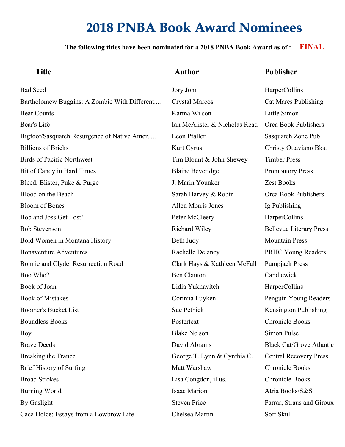| <b>Title</b>                                 | <b>Author</b>                 | <b>Publisher</b>                |
|----------------------------------------------|-------------------------------|---------------------------------|
| <b>Bad Seed</b>                              | Jory John                     | HarperCollins                   |
| Bartholomew Buggins: A Zombie With Different | <b>Crystal Marcos</b>         | <b>Cat Marcs Publishing</b>     |
| <b>Bear Counts</b>                           | Karma Wilson                  | Little Simon                    |
| Bear's Life                                  | Ian McAlister & Nicholas Read | Orca Book Publishers            |
| Bigfoot/Sasquatch Resurgence of Native Amer  | Leon Pfaller                  | Sasquatch Zone Pub              |
| <b>Billions of Bricks</b>                    | Kurt Cyrus                    | Christy Ottaviano Bks.          |
| <b>Birds of Pacific Northwest</b>            | Tim Blount & John Shewey      | <b>Timber Press</b>             |
| Bit of Candy in Hard Times                   | <b>Blaine Beveridge</b>       | <b>Promontory Press</b>         |
| Bleed, Blister, Puke & Purge                 | J. Marin Younker              | <b>Zest Books</b>               |
| Blood on the Beach                           | Sarah Harvey & Robin          | Orca Book Publishers            |
| <b>Bloom of Bones</b>                        | Allen Morris Jones            | Ig Publishing                   |
| Bob and Joss Get Lost!                       | Peter McCleery                | HarperCollins                   |
| <b>Bob Stevenson</b>                         | Richard Wiley                 | <b>Bellevue Literary Press</b>  |
| Bold Women in Montana History                | Beth Judy                     | <b>Mountain Press</b>           |
| <b>Bonaventure Adventures</b>                | Rachelle Delaney              | PRHC Young Readers              |
| Bonnie and Clyde: Resurrection Road          | Clark Hays & Kathleen McFall  | <b>Pumpjack Press</b>           |
| Boo Who?                                     | <b>Ben Clanton</b>            | Candlewick                      |
| Book of Joan                                 | Lidia Yuknavitch              | HarperCollins                   |
| <b>Book of Mistakes</b>                      | Corinna Luyken                | Penguin Young Readers           |
| <b>Boomer's Bucket List</b>                  | Sue Pethick                   | Kensington Publishing           |
| <b>Boundless Books</b>                       | Postertext                    | <b>Chronicle Books</b>          |
| <b>Boy</b>                                   | <b>Blake Nelson</b>           | Simon Pulse                     |
| <b>Brave Deeds</b>                           | David Abrams                  | <b>Black Cat/Grove Atlantic</b> |
| Breaking the Trance                          | George T. Lynn & Cynthia C.   | <b>Central Recovery Press</b>   |
| <b>Brief History of Surfing</b>              | Matt Warshaw                  | <b>Chronicle Books</b>          |
| <b>Broad Strokes</b>                         | Lisa Congdon, illus.          | <b>Chronicle Books</b>          |
| <b>Burning World</b>                         | <b>Isaac Marion</b>           | Atria Books/S&S                 |
| By Gaslight                                  | <b>Steven Price</b>           | Farrar, Straus and Giroux       |
| Caca Dolce: Essays from a Lowbrow Life       | Chelsea Martin                | Soft Skull                      |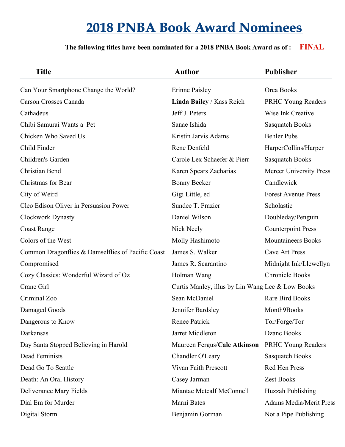| <b>Title</b>                                      | <b>Author</b>                                    | <b>Publisher</b>               |
|---------------------------------------------------|--------------------------------------------------|--------------------------------|
| Can Your Smartphone Change the World?             | <b>Erinne Paisley</b>                            | Orca Books                     |
| Carson Crosses Canada                             | Linda Bailey / Kass Reich                        | PRHC Young Readers             |
| Cathadeus                                         | Jeff J. Peters                                   | Wise Ink Creative              |
| Chibi Samurai Wants a Pet                         | Sanae Ishida                                     | <b>Sasquatch Books</b>         |
| Chicken Who Saved Us                              | Kristin Jarvis Adams                             | <b>Behler Pubs</b>             |
| Child Finder                                      | Rene Denfeld                                     | HarperCollins/Harper           |
| Children's Garden                                 | Carole Lex Schaefer & Pierr                      | <b>Sasquatch Books</b>         |
| Christian Bend                                    | Karen Spears Zacharias                           | <b>Mercer University Press</b> |
| Christmas for Bear                                | <b>Bonny Becker</b>                              | Candlewick                     |
| City of Weird                                     | Gigi Little, ed                                  | <b>Forest Avenue Press</b>     |
| Cleo Edison Oliver in Persuasion Power            | Sundee T. Frazier                                | Scholastic                     |
| <b>Clockwork Dynasty</b>                          | Daniel Wilson                                    | Doubleday/Penguin              |
| <b>Coast Range</b>                                | Nick Neely                                       | <b>Counterpoint Press</b>      |
| Colors of the West                                | Molly Hashimoto                                  | <b>Mountaineers Books</b>      |
| Common Dragonflies & Damselflies of Pacific Coast | James S. Walker                                  | <b>Cave Art Press</b>          |
| Compromised                                       | James R. Scarantino                              | Midnight Ink/Llewellyn         |
| Cozy Classics: Wonderful Wizard of Oz             | Holman Wang                                      | <b>Chronicle Books</b>         |
| Crane Girl                                        | Curtis Manley, illus by Lin Wang Lee & Low Books |                                |
| Criminal Zoo                                      | Sean McDaniel                                    | <b>Rare Bird Books</b>         |
| Damaged Goods                                     | Jennifer Bardsley                                | Month9Books                    |
| Dangerous to Know                                 | Renee Patrick                                    | Tor/Forge/Tor                  |
| Darkansas                                         | Jarret Middleton                                 | Dzanc Books                    |
| Day Santa Stopped Believing in Harold             | Maureen Fergus/Cale Atkinson                     | PRHC Young Readers             |
| Dead Feminists                                    | Chandler O'Leary                                 | <b>Sasquatch Books</b>         |
| Dead Go To Seattle                                | Vivan Faith Prescott                             | Red Hen Press                  |
| Death: An Oral History                            | Casey Jarman                                     | Zest Books                     |
| Deliverance Mary Fields                           | Miantae Metcalf McConnell                        | Huzzah Publishing              |
| Dial Em for Murder                                | Marni Bates                                      | <b>Adams Media/Merit Press</b> |
| Digital Storm                                     | Benjamin Gorman                                  | Not a Pipe Publishing          |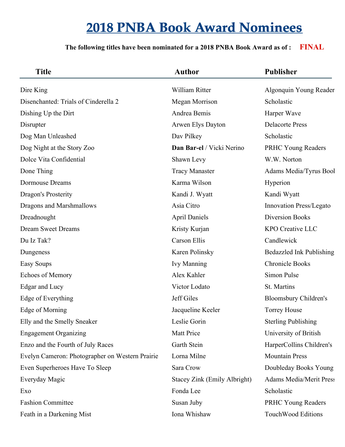| <b>Title</b>                                    | <b>Author</b>                | <b>Publisher</b>               |
|-------------------------------------------------|------------------------------|--------------------------------|
| Dire King                                       | William Ritter               | Algonquin Young Reader         |
| Disenchanted: Trials of Cinderella 2            | Megan Morrison               | Scholastic                     |
| Dishing Up the Dirt                             | Andrea Bemis                 | Harper Wave                    |
| Disrupter                                       | Arwen Elys Dayton            | <b>Delacorte Press</b>         |
| Dog Man Unleashed                               | Dav Pilkey                   | Scholastic                     |
| Dog Night at the Story Zoo                      | Dan Bar-el / Vicki Nerino    | PRHC Young Readers             |
| Dolce Vita Confidential                         | Shawn Levy                   | W.W. Norton                    |
| Done Thing                                      | <b>Tracy Manaster</b>        | Adams Media/Tyrus Bool         |
| <b>Dormouse Dreams</b>                          | Karma Wilson                 | Hyperion                       |
| Dragon's Prosterity                             | Kandi J. Wyatt               | Kandi Wyatt                    |
| Dragons and Marshmallows                        | Asia Citro                   | Innovation Press/Legato        |
| Dreadnought                                     | <b>April Daniels</b>         | <b>Diversion Books</b>         |
| <b>Dream Sweet Dreams</b>                       | Kristy Kurjan                | <b>KPO Creative LLC</b>        |
| Du Iz Tak?                                      | Carson Ellis                 | Candlewick                     |
| Dungeness                                       | Karen Polinsky               | Bedazzled Ink Publishing       |
| <b>Easy Soups</b>                               | <b>Ivy Manning</b>           | <b>Chronicle Books</b>         |
| <b>Echoes of Memory</b>                         | Alex Kahler                  | Simon Pulse                    |
| Edgar and Lucy                                  | Victor Lodato                | St. Martins                    |
| Edge of Everything                              | Jeff Giles                   | <b>Bloomsbury Children's</b>   |
| Edge of Morning                                 | Jacqueline Keeler            | <b>Torrey House</b>            |
| Elly and the Smelly Sneaker                     | Leslie Gorin                 | <b>Sterling Publishing</b>     |
| <b>Engagement Organizing</b>                    | <b>Matt Price</b>            | University of British          |
| Enzo and the Fourth of July Races               | Garth Stein                  | HarperCollins Children's       |
| Evelyn Cameron: Photographer on Western Prairie | Lorna Milne                  | <b>Mountain Press</b>          |
| Even Superheroes Have To Sleep                  | Sara Crow                    | Doubleday Books Young          |
| Everyday Magic                                  | Stacey Zink (Emily Albright) | <b>Adams Media/Merit Press</b> |
| Exo                                             | Fonda Lee                    | Scholastic                     |
| <b>Fashion Committee</b>                        | Susan Juby                   | <b>PRHC Young Readers</b>      |
| Feath in a Darkening Mist                       | Iona Whishaw                 | TouchWood Editions             |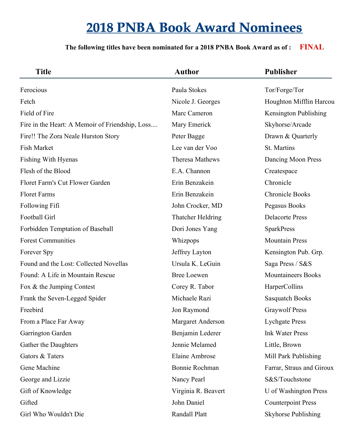| <b>Title</b>                                    | <b>Author</b>            | <b>Publisher</b>          |
|-------------------------------------------------|--------------------------|---------------------------|
| Ferocious                                       | Paula Stokes             | Tor/Forge/Tor             |
| Fetch                                           | Nicole J. Georges        | Houghton Mifflin Harcou   |
| Field of Fire                                   | Marc Cameron             | Kensington Publishing     |
| Fire in the Heart: A Memoir of Friendship, Loss | Mary Emerick             | Skyhorse/Arcade           |
| Fire!! The Zora Neale Hurston Story             | Peter Bagge              | Drawn & Quarterly         |
| <b>Fish Market</b>                              | Lee van der Voo          | St. Martins               |
| Fishing With Hyenas                             | Theresa Mathews          | Dancing Moon Press        |
| Flesh of the Blood                              | E.A. Channon             | Createspace               |
| Floret Farm's Cut Flower Garden                 | Erin Benzakein           | Chronicle                 |
| <b>Floret Farms</b>                             | Erin Benzakein           | <b>Chronicle Books</b>    |
| Following Fifi                                  | John Crocker, MD         | Pegasus Books             |
| Football Girl                                   | Thatcher Heldring        | <b>Delacorte Press</b>    |
| Forbidden Temptation of Baseball                | Dori Jones Yang          | <b>SparkPress</b>         |
| <b>Forest Communities</b>                       | Whizpops                 | <b>Mountain Press</b>     |
| Forever Spy                                     | Jeffrey Layton           | Kensington Pub. Grp.      |
| Found and the Lost: Collected Novellas          | Ursula K. LeGuin         | Saga Press / S&S          |
| Found: A Life in Mountain Rescue                | <b>Bree Loewen</b>       | <b>Mountaineers Books</b> |
| Fox & the Jumping Contest                       | Corey R. Tabor           | HarperCollins             |
| Frank the Seven-Legged Spider                   | Michaele Razi            | <b>Sasquatch Books</b>    |
| Freebird                                        | Jon Raymond              | <b>Graywolf Press</b>     |
| From a Place Far Away                           | <b>Margaret Anderson</b> | <b>Lychgate Press</b>     |
| Garrington Garden                               | Benjamin Lederer         | <b>Ink Water Press</b>    |
| Gather the Daughters                            | Jennie Melamed           | Little, Brown             |
| Gators & Taters                                 | Elaine Ambrose           | Mill Park Publishing      |
| Gene Machine                                    | Bonnie Rochman           | Farrar, Straus and Giroux |
| George and Lizzie                               | Nancy Pearl              | S&S/Touchstone            |
| Gift of Knowledge                               | Virginia R. Beavert      | U of Washington Press     |
| Gifted                                          | John Daniel              | <b>Counterpoint Press</b> |
| Girl Who Wouldn't Die                           | Randall Platt            | Skyhorse Publishing       |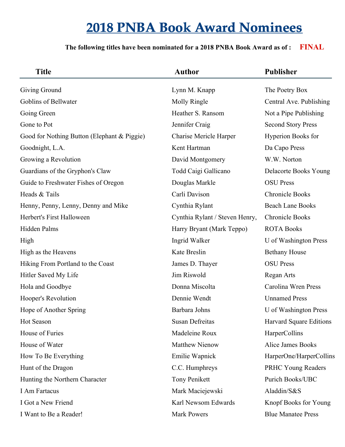| <b>Title</b>                                | <b>Author</b>                  | <b>Publisher</b>               |
|---------------------------------------------|--------------------------------|--------------------------------|
| Giving Ground                               | Lynn M. Knapp                  | The Poetry Box                 |
| Goblins of Bellwater                        | Molly Ringle                   | Central Ave. Publishing        |
| Going Green                                 | Heather S. Ransom              | Not a Pipe Publishing          |
| Gone to Pot                                 | Jennifer Craig                 | <b>Second Story Press</b>      |
| Good for Nothing Button (Elephant & Piggie) | <b>Charise Mericle Harper</b>  | Hyperion Books for             |
| Goodnight, L.A.                             | Kent Hartman                   | Da Capo Press                  |
| Growing a Revolution                        | David Montgomery               | W.W. Norton                    |
| Guardians of the Gryphon's Claw             | Todd Caigi Gallicano           | Delacorte Books Young          |
| Guide to Freshwater Fishes of Oregon        | Douglas Markle                 | <b>OSU</b> Press               |
| Heads & Tails                               | Carli Davison                  | <b>Chronicle Books</b>         |
| Henny, Penny, Lenny, Denny and Mike         | Cynthia Rylant                 | <b>Beach Lane Books</b>        |
| Herbert's First Halloween                   | Cynthia Rylant / Steven Henry, | <b>Chronicle Books</b>         |
| Hidden Palms                                | Harry Bryant (Mark Teppo)      | <b>ROTA Books</b>              |
| High                                        | Ingrid Walker                  | U of Washington Press          |
| High as the Heavens                         | Kate Breslin                   | <b>Bethany House</b>           |
| Hiking From Portland to the Coast           | James D. Thayer                | <b>OSU</b> Press               |
| Hitler Saved My Life                        | Jim Riswold                    | Regan Arts                     |
| Hola and Goodbye                            | Donna Miscolta                 | Carolina Wren Press            |
| Hooper's Revolution                         | Dennie Wendt                   | <b>Unnamed Press</b>           |
| Hope of Another Spring                      | Barbara Johns                  | U of Washington Press          |
| Hot Season                                  | <b>Susan Defreitas</b>         | <b>Harvard Square Editions</b> |
| House of Furies                             | Madeleine Roux                 | HarperCollins                  |
| House of Water                              | Matthew Nienow                 | Alice James Books              |
| How To Be Everything                        | Emilie Wapnick                 | HarperOne/HarperCollins        |
| Hunt of the Dragon                          | C.C. Humphreys                 | PRHC Young Readers             |
| Hunting the Northern Character              | <b>Tony Penikett</b>           | Purich Books/UBC               |
| I Am Fartacus                               | Mark Maciejewski               | Aladdin/S&S                    |
| I Got a New Friend                          | Karl Newsom Edwards            | Knopf Books for Young          |
| I Want to Be a Reader!                      | <b>Mark Powers</b>             | <b>Blue Manatee Press</b>      |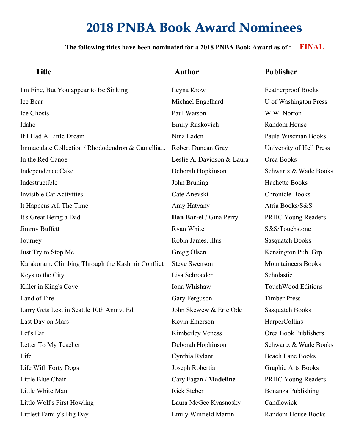| <b>Title</b>                                     | <b>Author</b>              | <b>Publisher</b>          |
|--------------------------------------------------|----------------------------|---------------------------|
| I'm Fine, But You appear to Be Sinking           | Leyna Krow                 | Featherproof Books        |
| Ice Bear                                         | Michael Engelhard          | U of Washington Press     |
| Ice Ghosts                                       | Paul Watson                | W.W. Norton               |
| Idaho                                            | Emily Ruskovich            | Random House              |
| If I Had A Little Dream                          | Nina Laden                 | Paula Wiseman Books       |
| Immaculate Collection / Rhododendron & Camellia  | Robert Duncan Gray         | University of Hell Press  |
| In the Red Canoe                                 | Leslie A. Davidson & Laura | Orca Books                |
| Independence Cake                                | Deborah Hopkinson          | Schwartz & Wade Books     |
| Indestructible                                   | John Bruning               | <b>Hachette Books</b>     |
| <b>Invisible Cat Activities</b>                  | Cate Anevski               | <b>Chronicle Books</b>    |
| It Happens All The Time                          | Amy Hatvany                | Atria Books/S&S           |
| It's Great Being a Dad                           | Dan Bar-el / Gina Perry    | <b>PRHC Young Readers</b> |
| Jimmy Buffett                                    | Ryan White                 | S&S/Touchstone            |
| Journey                                          | Robin James, illus         | <b>Sasquatch Books</b>    |
| Just Try to Stop Me                              | Gregg Olsen                | Kensington Pub. Grp.      |
| Karakoram: Climbing Through the Kashmir Conflict | <b>Steve Swenson</b>       | <b>Mountaineers Books</b> |
| Keys to the City                                 | Lisa Schroeder             | Scholastic                |
| Killer in King's Cove                            | Iona Whishaw               | <b>TouchWood Editions</b> |
| Land of Fire                                     | Gary Ferguson              | <b>Timber Press</b>       |
| Larry Gets Lost in Seattle 10th Anniv. Ed.       | John Skewew & Eric Ode     | <b>Sasquatch Books</b>    |
| Last Day on Mars                                 | Kevin Emerson              | HarperCollins             |
| Let's Eat                                        | <b>Kimberley Veness</b>    | Orca Book Publishers      |
| Letter To My Teacher                             | Deborah Hopkinson          | Schwartz & Wade Books     |
| Life                                             | Cynthia Rylant             | <b>Beach Lane Books</b>   |
| Life With Forty Dogs                             | Joseph Robertia            | Graphic Arts Books        |
| Little Blue Chair                                | Cary Fagan / Madeline      | <b>PRHC Young Readers</b> |
| Little White Man                                 | Rick Steber                | Bonanza Publishing        |
| Little Wolf's First Howling                      | Laura McGee Kvasnosky      | Candlewick                |
| Littlest Family's Big Day                        | Emily Winfield Martin      | Random House Books        |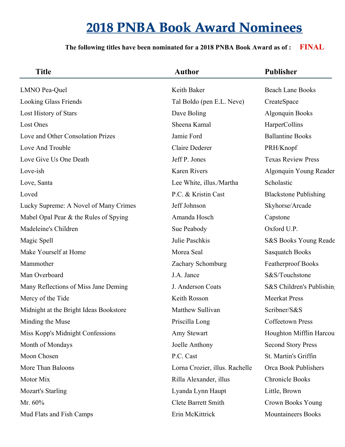| <b>Title</b>                           | <b>Author</b>                  | <b>Publisher</b>             |
|----------------------------------------|--------------------------------|------------------------------|
| LMNO Pea-Quel                          | Keith Baker                    | <b>Beach Lane Books</b>      |
| <b>Looking Glass Friends</b>           | Tal Boldo (pen E.L. Neve)      | CreateSpace                  |
| Lost History of Stars                  | Dave Boling                    | <b>Algonquin Books</b>       |
| Lost Ones                              | Sheena Kamal                   | HarperCollins                |
| Love and Other Consolation Prizes      | Jamie Ford                     | <b>Ballantine Books</b>      |
| Love And Trouble                       | <b>Claire Dederer</b>          | PRH/Knopf                    |
| Love Give Us One Death                 | Jeff P. Jones                  | <b>Texas Review Press</b>    |
| Love-ish                               | <b>Karen Rivers</b>            | Algonquin Young Reader       |
| Love, Santa                            | Lee White, illus./Martha       | Scholastic                   |
| Loved                                  | P.C. & Kristin Cast            | <b>Blackstone Publishing</b> |
| Lucky Supreme: A Novel of Many Crimes  | Jeff Johnson                   | Skyhorse/Arcade              |
| Mabel Opal Pear & the Rules of Spying  | Amanda Hosch                   | Capstone                     |
| Madeleine's Children                   | Sue Peabody                    | Oxford U.P.                  |
| Magic Spell                            | Julie Paschkis                 | S&S Books Young Reade        |
| Make Yourself at Home                  | Morea Seal                     | <b>Sasquatch Books</b>       |
| Mammother                              | Zachary Schomburg              | <b>Featherproof Books</b>    |
| Man Overboard                          | J.A. Jance                     | S&S/Touchstone               |
| Many Reflections of Miss Jane Deming   | J. Anderson Coats              | S&S Children's Publishing    |
| Mercy of the Tide                      | Keith Rosson                   | <b>Meerkat Press</b>         |
| Midnight at the Bright Ideas Bookstore | Matthew Sullivan               | Scribner/S&S                 |
| Minding the Muse                       | Priscilla Long                 | <b>Coffeetown Press</b>      |
| Miss Kopp's Midnight Confessions       | Amy Stewart                    | Houghton Mifflin Harcou      |
| Month of Mondays                       | Joelle Anthony                 | <b>Second Story Press</b>    |
| Moon Chosen                            | P.C. Cast                      | St. Martin's Griffin         |
| More Than Baloons                      | Lorna Crozier, illus. Rachelle | Orca Book Publishers         |
| Motor Mix                              | Rilla Alexander, illus         | <b>Chronicle Books</b>       |
| <b>Mozart's Starling</b>               | Lyanda Lynn Haupt              | Little, Brown                |
| Mr. 60%                                | <b>Clete Barrett Smith</b>     | Crown Books Young            |
| Mud Flats and Fish Camps               | Erin McKittrick                | <b>Mountaineers Books</b>    |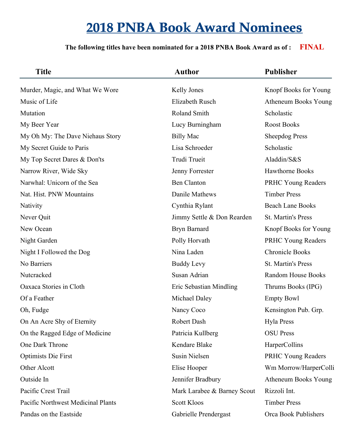| <b>Title</b>                       | <b>Author</b>               | <b>Publisher</b>          |
|------------------------------------|-----------------------------|---------------------------|
| Murder, Magic, and What We Wore    | Kelly Jones                 | Knopf Books for Young     |
| Music of Life                      | Elizabeth Rusch             | Atheneum Books Young      |
| Mutation                           | Roland Smith                | Scholastic                |
| My Beer Year                       | Lucy Burningham             | <b>Roost Books</b>        |
| My Oh My: The Dave Niehaus Story   | <b>Billy Mac</b>            | <b>Sheepdog Press</b>     |
| My Secret Guide to Paris           | Lisa Schroeder              | Scholastic                |
| My Top Secret Dares & Don'ts       | Trudi Trueit                | Aladdin/S&S               |
| Narrow River, Wide Sky             | Jenny Forrester             | <b>Hawthorne Books</b>    |
| Narwhal: Unicorn of the Sea        | <b>Ben Clanton</b>          | PRHC Young Readers        |
| Nat. Hist. PNW Mountains           | Danile Mathews              | <b>Timber Press</b>       |
| Nativity                           | Cynthia Rylant              | <b>Beach Lane Books</b>   |
| Never Quit                         | Jimmy Settle & Don Rearden  | St. Martin's Press        |
| New Ocean                          | Bryn Barnard                | Knopf Books for Young     |
| Night Garden                       | Polly Horvath               | <b>PRHC Young Readers</b> |
| Night I Followed the Dog           | Nina Laden                  | <b>Chronicle Books</b>    |
| No Barriers                        | <b>Buddy Levy</b>           | St. Martin's Press        |
| Nutcracked                         | Susan Adrian                | Random House Books        |
| Oaxaca Stories in Cloth            | Eric Sebastian Mindling     | Thrums Books (IPG)        |
| Of a Feather                       | Michael Daley               | <b>Empty Bowl</b>         |
| Oh, Fudge                          | Nancy Coco                  | Kensington Pub. Grp.      |
| On An Acre Shy of Eternity         | Robert Dash                 | <b>Hyla Press</b>         |
| On the Ragged Edge of Medicine     | Patricia Kullberg           | <b>OSU</b> Press          |
| One Dark Throne                    | Kendare Blake               | HarperCollins             |
| <b>Optimists Die First</b>         | <b>Susin Nielsen</b>        | <b>PRHC Young Readers</b> |
| Other Alcott                       | Elise Hooper                | Wm Morrow/HarperColli     |
| Outside In                         | Jennifer Bradbury           | Atheneum Books Young      |
| Pacific Crest Trail                | Mark Larabee & Barney Scout | Rizzoli Int.              |
| Pacific Northwest Medicinal Plants | <b>Scott Kloos</b>          | <b>Timber Press</b>       |
| Pandas on the Eastside             | Gabrielle Prendergast       | Orca Book Publishers      |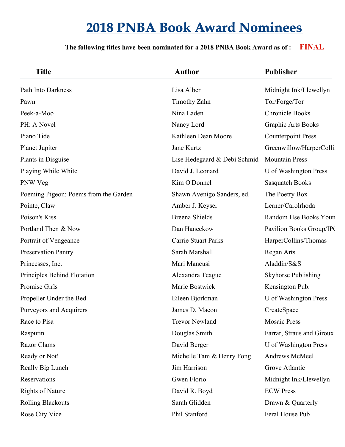| <b>Title</b>                          | <b>Author</b>                | <b>Publisher</b>           |
|---------------------------------------|------------------------------|----------------------------|
| Path Into Darkness                    | Lisa Alber                   | Midnight Ink/Llewellyn     |
| Pawn                                  | Timothy Zahn                 | Tor/Forge/Tor              |
| Peek-a-Moo                            | Nina Laden                   | <b>Chronicle Books</b>     |
| PH: A Novel                           | Nancy Lord                   | <b>Graphic Arts Books</b>  |
| Piano Tide                            | Kathleen Dean Moore          | <b>Counterpoint Press</b>  |
| Planet Jupiter                        | Jane Kurtz                   | Greenwillow/HarperColli    |
| Plants in Disguise                    | Lise Hedegaard & Debi Schmid | <b>Mountain Press</b>      |
| Playing While White                   | David J. Leonard             | U of Washington Press      |
| PNW Veg                               | Kim O'Donnel                 | <b>Sasquatch Books</b>     |
| Poeming Pigeon: Poems from the Garden | Shawn Avenigo Sanders, ed.   | The Poetry Box             |
| Pointe, Claw                          | Amber J. Keyser              | Lerner/Carolrhoda          |
| Poison's Kiss                         | <b>Breena Shields</b>        | Random Hse Books Youn      |
| Portland Then & Now                   | Dan Haneckow                 | Pavilion Books Group/IPC   |
| Portrait of Vengeance                 | <b>Carrie Stuart Parks</b>   | HarperCollins/Thomas       |
| <b>Preservation Pantry</b>            | Sarah Marshall               | Regan Arts                 |
| Princesses, Inc.                      | Mari Mancusi                 | Aladdin/S&S                |
| Principles Behind Flotation           | Alexandra Teague             | <b>Skyhorse Publishing</b> |
| Promise Girls                         | Marie Bostwick               | Kensington Pub.            |
| Propeller Under the Bed               | Eileen Bjorkman              | U of Washington Press      |
| Purveyors and Acquirers               | James D. Macon               | CreateSpace                |
| Race to Pisa                          | <b>Trevor Newland</b>        | <b>Mosaic Press</b>        |
| Rasputin                              | Douglas Smith                | Farrar, Straus and Giroux  |
| <b>Razor Clams</b>                    | David Berger                 | U of Washington Press      |
| Ready or Not!                         | Michelle Tam & Henry Fong    | Andrews McMeel             |
| Really Big Lunch                      | Jim Harrison                 | Grove Atlantic             |
| Reservations                          | Gwen Florio                  | Midnight Ink/Llewellyn     |
| <b>Rights of Nature</b>               | David R. Boyd                | <b>ECW Press</b>           |
| <b>Rolling Blackouts</b>              | Sarah Glidden                | Drawn & Quarterly          |
| Rose City Vice                        | Phil Stanford                | Feral House Pub            |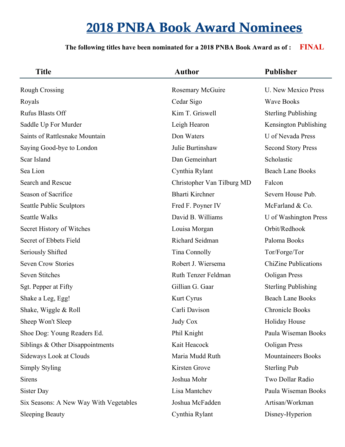| <b>Title</b>                           | <b>Author</b>              | <b>Publisher</b>            |
|----------------------------------------|----------------------------|-----------------------------|
| <b>Rough Crossing</b>                  | <b>Rosemary McGuire</b>    | U. New Mexico Press         |
| Royals                                 | Cedar Sigo                 | <b>Wave Books</b>           |
| <b>Rufus Blasts Off</b>                | Kim T. Griswell            | <b>Sterling Publishing</b>  |
| Saddle Up For Murder                   | Leigh Hearon               | Kensington Publishing       |
| Saints of Rattlesnake Mountain         | Don Waters                 | U of Nevada Press           |
| Saying Good-bye to London              | Julie Burtinshaw           | <b>Second Story Press</b>   |
| Scar Island                            | Dan Gemeinhart             | Scholastic                  |
| Sea Lion                               | Cynthia Rylant             | <b>Beach Lane Books</b>     |
| Search and Rescue                      | Christopher Van Tilburg MD | Falcon                      |
| Season of Sacrifice                    | <b>Bharti Kirchner</b>     | Severn House Pub.           |
| <b>Seattle Public Sculptors</b>        | Fred F. Poyner IV          | McFarland & Co.             |
| <b>Seattle Walks</b>                   | David B. Williams          | U of Washington Press       |
| Secret History of Witches              | Louisa Morgan              | Orbit/Redhook               |
| Secret of Ebbets Field                 | Richard Seidman            | Paloma Books                |
| <b>Seriously Shifted</b>               | Tina Connolly              | Tor/Forge/Tor               |
| <b>Seven Crow Stories</b>              | Robert J. Wiersema         | <b>ChiZine Publications</b> |
| <b>Seven Stitches</b>                  | Ruth Tenzer Feldman        | Ooligan Press               |
| Sgt. Pepper at Fifty                   | Gillian G. Gaar            | <b>Sterling Publishing</b>  |
| Shake a Leg, Egg!                      | Kurt Cyrus                 | <b>Beach Lane Books</b>     |
| Shake, Wiggle & Roll                   | Carli Davison              | <b>Chronicle Books</b>      |
| Sheep Won't Sleep                      | <b>Judy Cox</b>            | Holiday House               |
| Shoe Dog: Young Readers Ed.            | Phil Knight                | Paula Wiseman Books         |
| Siblings $&$ Other Disappointments     | Kait Heacock               | Ooligan Press               |
| <b>Sideways Look at Clouds</b>         | Maria Mudd Ruth            | <b>Mountaineers Books</b>   |
| <b>Simply Styling</b>                  | Kirsten Grove              | <b>Sterling Pub</b>         |
| <b>Sirens</b>                          | Joshua Mohr                | Two Dollar Radio            |
| Sister Day                             | Lisa Mantchev              | Paula Wiseman Books         |
| Six Seasons: A New Way With Vegetables | Joshua McFadden            | Artisan/Workman             |
| <b>Sleeping Beauty</b>                 | Cynthia Rylant             | Disney-Hyperion             |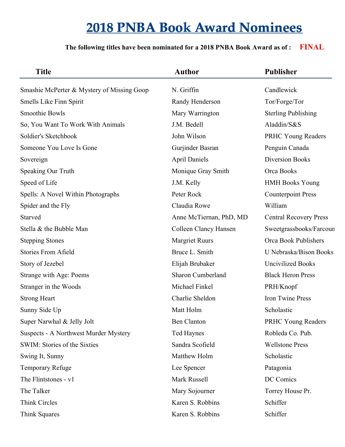| <b>Title</b>                               | <b>Author</b>            | <b>Publisher</b>              |
|--------------------------------------------|--------------------------|-------------------------------|
| Smashie McPerter & Mystery of Missing Goop | N. Griffin               | Candlewick                    |
| Smells Like Finn Spirit                    | Randy Henderson          | Tor/Forge/Tor                 |
| Smoothie Bowls                             | Mary Warrington          | <b>Sterling Publishing</b>    |
| So, You Want To Work With Animals          | J.M. Bedell              | Aladdin/S&S                   |
| Soldier's Sketchbook                       | John Wilson              | PRHC Young Readers            |
| Someone You Love Is Gone                   | Gurjinder Basran         | Penguin Canada                |
| Sovereign                                  | <b>April Daniels</b>     | <b>Diversion Books</b>        |
| Speaking Our Truth                         | Monique Gray Smith       | Orca Books                    |
| Speed of Life                              | J.M. Kelly               | <b>HMH Books Young</b>        |
| Spells: A Novel Within Photographs         | Peter Rock               | <b>Counterpoint Press</b>     |
| Spider and the Fly                         | Claudia Rowe             | William                       |
| Starved                                    | Anne McTiernan, PhD, MD  | <b>Central Recovery Press</b> |
| Stella & the Bubble Man                    | Colleen Clancy Hansen    | Sweetgrassbooks/Farcoun       |
| <b>Stepping Stones</b>                     | <b>Margriet Ruurs</b>    | Orca Book Publishers          |
| <b>Stories From Afield</b>                 | Bruce L. Smith           | U Nebraska/Bison Books        |
| Story of Jezebel                           | Elijah Brubaker          | <b>Uncivilized Books</b>      |
| Strange with Age: Poems                    | <b>Sharon Cumberland</b> | <b>Black Heron Press</b>      |
| Stranger in the Woods                      | Michael Finkel           | PRH/Knopf                     |
| <b>Strong Heart</b>                        | Charlie Sheldon          | <b>Iron Twine Press</b>       |
| Sunny Side Up                              | Matt Holm                | Scholastic                    |
| Super Narwhal & Jelly Jolt                 | <b>Ben Clanton</b>       | PRHC Young Readers            |
| Suspects - A Northwest Murder Mystery      | <b>Ted Haynes</b>        | Robleda Co. Pub.              |
| SWIM: Stories of the Sixties               | Sandra Scofield          | <b>Wellstone Press</b>        |
| Swing It, Sunny                            | Matthew Holm             | Scholastic                    |
| <b>Temporary Refuge</b>                    | Lee Spencer              | Patagonia                     |
| The Flintstones - v1                       | Mark Russell             | DC Comics                     |
| The Talker                                 | Mary Sojourner           | Torrey House Pr.              |
| <b>Think Circles</b>                       | Karen S. Robbins         | Schiffer                      |
| Think Squares                              | Karen S. Robbins         | Schiffer                      |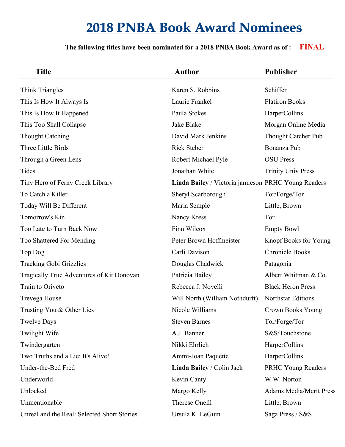| <b>Title</b>                                | <b>Author</b>                                       | <b>Publisher</b>               |
|---------------------------------------------|-----------------------------------------------------|--------------------------------|
| Think Triangles                             | Karen S. Robbins                                    | Schiffer                       |
| This Is How It Always Is                    | Laurie Frankel                                      | <b>Flatiron Books</b>          |
| This Is How It Happened                     | Paula Stokes                                        | HarperCollins                  |
| This Too Shall Collapse                     | Jake Blake                                          | Morgan Online Media            |
| <b>Thought Catching</b>                     | David Mark Jenkins                                  | <b>Thought Catcher Pub</b>     |
| Three Little Birds                          | <b>Rick Steber</b>                                  | Bonanza Pub                    |
| Through a Green Lens                        | Robert Michael Pyle                                 | <b>OSU</b> Press               |
| Tides                                       | Jonathan White                                      | <b>Trinity Univ Press</b>      |
| Tiny Hero of Ferny Creek Library            | Linda Bailey / Victoria jamieson PRHC Young Readers |                                |
| To Catch a Killer                           | Sheryl Scarborough                                  | Tor/Forge/Tor                  |
| Today Will Be Different                     | Maria Semple                                        | Little, Brown                  |
| Tomorrow's Kin                              | Nancy Kress                                         | Tor                            |
| Too Late to Turn Back Now                   | Finn Wilcox                                         | <b>Empty Bowl</b>              |
| Too Shattered For Mending                   | Peter Brown Hoffmeister                             | Knopf Books for Young          |
| Top Dog                                     | Carli Davison                                       | <b>Chronicle Books</b>         |
| <b>Tracking Gobi Grizzlies</b>              | Douglas Chadwick                                    | Patagonia                      |
| Tragically True Adventures of Kit Donovan   | Patricia Bailey                                     | Albert Whitman & Co.           |
| Train to Oriveto                            | Rebecca J. Novelli                                  | <b>Black Heron Press</b>       |
| Trevega House                               | Will North (William Nothdurft)                      | <b>Northstar Editions</b>      |
| Trusting You & Other Lies                   | Nicole Williams                                     | Crown Books Young              |
| <b>Twelve Days</b>                          | <b>Steven Barnes</b>                                | Tor/Forge/Tor                  |
| Twilight Wife                               | A.J. Banner                                         | S&S/Touchstone                 |
| Twindergarten                               | Nikki Ehrlich                                       | HarperCollins                  |
| Two Truths and a Lie: It's Alive!           | Ammi-Joan Paquette                                  | HarperCollins                  |
| Under-the-Bed Fred                          | Linda Bailey / Colin Jack                           | <b>PRHC Young Readers</b>      |
| Underworld                                  | Kevin Canty                                         | W.W. Norton                    |
| Unlocked                                    | Margo Kelly                                         | <b>Adams Media/Merit Press</b> |
| Unmentionable                               | Therese Oneill                                      | Little, Brown                  |
| Unreal and the Real: Selected Short Stories | Ursula K. LeGuin                                    | Saga Press / S&S               |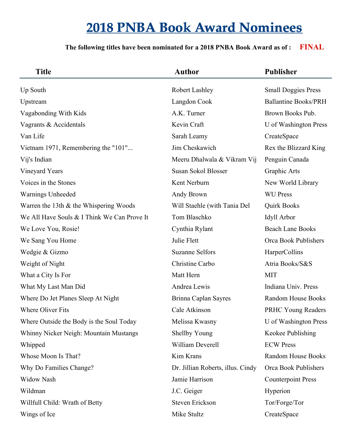| <b>Title</b>                                | <b>Author</b>                     | <b>Publisher</b>            |
|---------------------------------------------|-----------------------------------|-----------------------------|
| Up South                                    | Robert Lashley                    | <b>Small Doggies Press</b>  |
| Upstream                                    | Langdon Cook                      | <b>Ballantine Books/PRH</b> |
| Vagabonding With Kids                       | A.K. Turner                       | Brown Books Pub.            |
| Vagrants & Accidentals                      | Kevin Craft                       | U of Washington Press       |
| Van Life                                    | Sarah Leamy                       | CreateSpace                 |
| Vietnam 1971, Remembering the "101"         | Jim Cheskawich                    | Rex the Blizzard King       |
| Vij's Indian                                | Meeru Dhalwala & Vikram Vij       | Penguin Canada              |
| Vineyard Years                              | Susan Sokol Blosser               | Graphic Arts                |
| Voices in the Stones                        | Kent Nerburn                      | New World Library           |
| Warnings Unheeded                           | Andy Brown                        | <b>WU Press</b>             |
| Warren the 13th $&$ the Whispering Woods    | Will Staehle (with Tania Del      | <b>Quirk Books</b>          |
| We All Have Souls & I Think We Can Prove It | Tom Blaschko                      | Idyll Arbor                 |
| We Love You, Rosie!                         | Cynthia Rylant                    | <b>Beach Lane Books</b>     |
| We Sang You Home                            | Julie Flett                       | Orca Book Publishers        |
| Wedgie & Gizmo                              | <b>Suzanne Selfors</b>            | HarperCollins               |
| Weight of Night                             | Christine Carbo                   | Atria Books/S&S             |
| What a City Is For                          | Matt Hern                         | <b>MIT</b>                  |
| What My Last Man Did                        | Andrea Lewis                      | Indiana Univ. Press         |
| Where Do Jet Planes Sleep At Night          | Brinna Caplan Sayres              | Random House Books          |
| <b>Where Oliver Fits</b>                    | Cale Atkinson                     | <b>PRHC Young Readers</b>   |
| Where Outside the Body is the Soul Today    | Melissa Kwasny                    | U of Washington Press       |
| Whinny Nicker Neigh: Mountain Mustangs      | <b>Shellby Young</b>              | Keokee Publishing           |
| Whipped                                     | William Deverell                  | <b>ECW Press</b>            |
| Whose Moon Is That?                         | Kim Krans                         | Random House Books          |
| Why Do Families Change?                     | Dr. Jillian Roberts, illus. Cindy | Orca Book Publishers        |
| <b>Widow Nash</b>                           | Jamie Harrison                    | <b>Counterpoint Press</b>   |
| Wildman                                     | J.C. Geiger                       | Hyperion                    |
| Willfull Child: Wrath of Betty              | Steven Erickson                   | Tor/Forge/Tor               |
| Wings of Ice                                | Mike Stultz                       | CreateSpace                 |